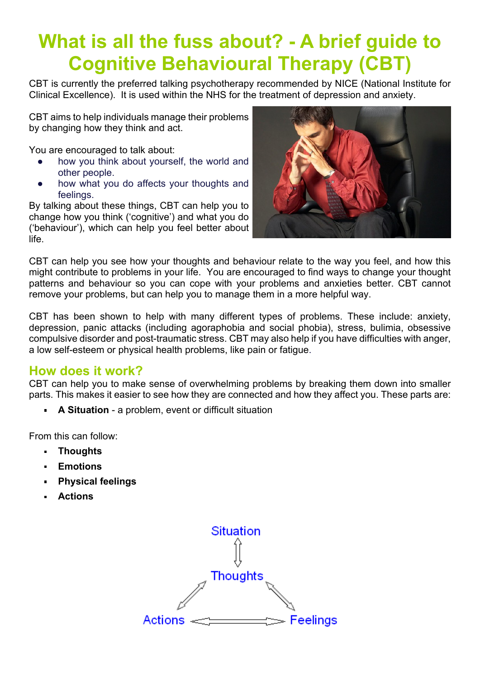# **What is all the fuss about? - A brief guide to Cognitive Behavioural Therapy (CBT)**

CBT is currently the preferred talking psychotherapy recommended by NICE (National Institute for Clinical Excellence). It is used within the NHS for the treatment of depression and anxiety.

CBT aims to help individuals manage their problems by changing how they think and act.

You are encouraged to talk about:

- how you think about yourself, the world and other people.
- how what you do affects your thoughts and feelings.

By talking about these things, CBT can help you to change how you think ('cognitive') and what you do ('behaviour'), which can help you feel better about life.



CBT can help you see how your thoughts and behaviour relate to the way you feel, and how this might contribute to problems in your life. You are encouraged to find ways to change your thought patterns and behaviour so you can cope with your problems and anxieties better. CBT cannot remove your problems, but can help you to manage them in a more helpful way.

CBT has been shown to help with many different types of problems. These include: anxiety, depression, panic attacks (including agoraphobia and social phobia), stress, bulimia, obsessive compulsive disorder and post-traumatic stress. CBT may also help if you have difficulties with anger, a low self-esteem or physical health problems, like pain or fatigue.

### **How does it work?**

CBT can help you to make sense of overwhelming problems by breaking them down into smaller parts. This makes it easier to see how they are connected and how they affect you. These parts are:

**A Situation** - a problem, event or difficult situation

From this can follow:

- **Thoughts**  $\blacksquare$
- **Emotions**  $\blacksquare$
- **Physical feelings**
- **Actions**

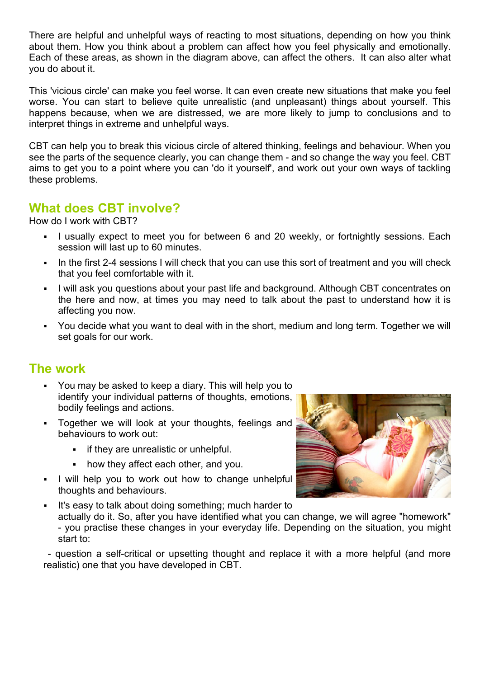There are helpful and unhelpful ways of reacting to most situations, depending on how you think about them. How you think about a problem can affect how you feel physically and emotionally. Each of these areas, as shown in the diagram above, can affect the others. It can also alter what you do about it.

This 'vicious circle' can make you feel worse. It can even create new situations that make you feel worse. You can start to believe quite unrealistic (and unpleasant) things about yourself. This happens because, when we are distressed, we are more likely to jump to conclusions and to interpret things in extreme and unhelpful ways.

CBT can help you to break this vicious circle of altered thinking, feelings and behaviour. When you see the parts of the sequence clearly, you can change them - and so change the way you feel. CBT aims to get you to a point where you can 'do it yourself', and work out your own ways of tackling these problems.

## **What does CBT involve?**

How do I work with CBT?

- I usually expect to meet you for between 6 and 20 weekly, or fortnightly sessions. Each session will last up to 60 minutes.
- In the first 2-4 sessions I will check that you can use this sort of treatment and you will check that you feel comfortable with it.
- ß I will ask you questions about your past life and background. Although CBT concentrates on the here and now, at times you may need to talk about the past to understand how it is affecting you now.
- You decide what you want to deal with in the short, medium and long term. Together we will set goals for our work.

### **The work**

- ß You may be asked to keep a diary. This will help you to identify your individual patterns of thoughts, emotions, bodily feelings and actions.
- ß Together we will look at your thoughts, feelings and behaviours to work out:
	- **Fig.** if they are unrealistic or unhelpful.
	- how they affect each other, and you.
- I will help you to work out how to change unhelpful thoughts and behaviours.
- ß It's easy to talk about doing something; much harder to actually do it. So, after you have identified what you can change, we will agree "homework" - you practise these changes in your everyday life. Depending on the situation, you might start to:

 - question a self-critical or upsetting thought and replace it with a more helpful (and more realistic) one that you have developed in CBT.